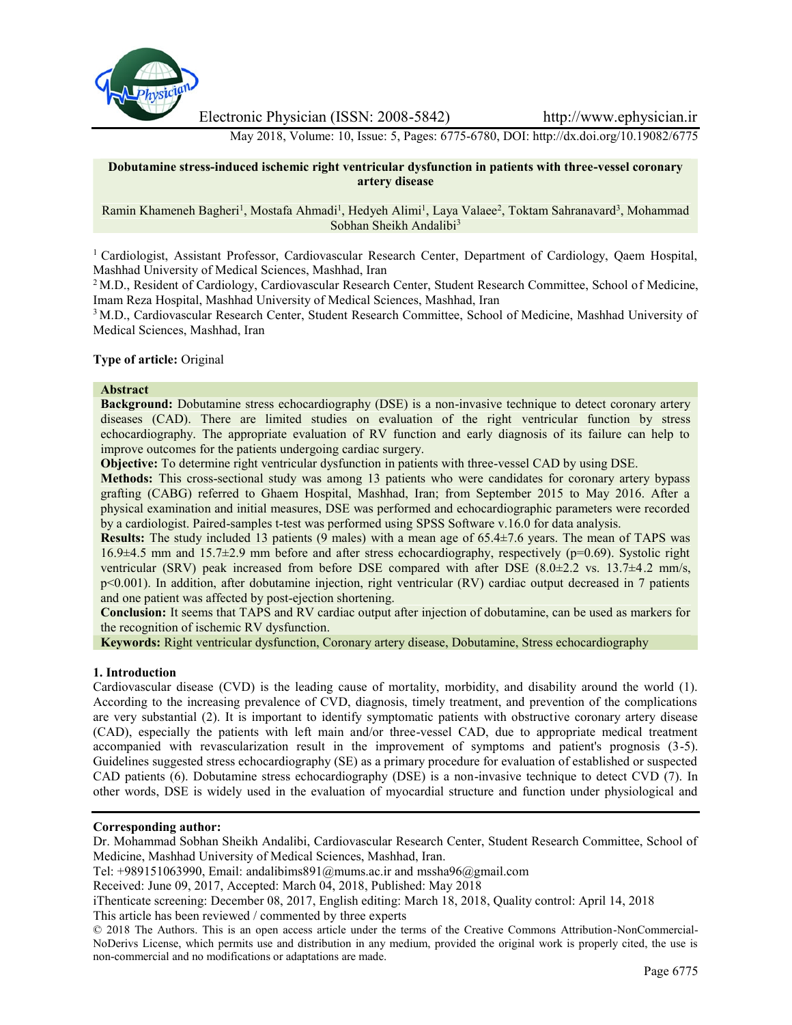

Electronic Physician (ISSN: 2008-5842) http://www.ephysician.ir

May 2018, Volume: 10, Issue: 5, Pages: 6775-6780, DOI: http://dx.doi.org/10.19082/6775

## **Dobutamine stress-induced ischemic right ventricular dysfunction in patients with three-vessel coronary artery disease**

## Ramin Khameneh Bagheri<sup>1</sup>, Mostafa Ahmadi<sup>1</sup>, Hedyeh Alimi<sup>1</sup>, Laya Valaee<sup>2</sup>, Toktam Sahranavard<sup>3</sup>, Mohammad Sobhan Sheikh Andalibi<sup>3</sup>

<sup>1</sup> Cardiologist, Assistant Professor, Cardiovascular Research Center, Department of Cardiology, Qaem Hospital, Mashhad University of Medical Sciences, Mashhad, Iran

<sup>2</sup> M.D., Resident of Cardiology, Cardiovascular Research Center, Student Research Committee, School of Medicine, Imam Reza Hospital, Mashhad University of Medical Sciences, Mashhad, Iran

<sup>3</sup> M.D., Cardiovascular Research Center, Student Research Committee, School of Medicine, Mashhad University of Medical Sciences, Mashhad, Iran

## **Type of article:** Original

#### **Abstract**

**Background:** Dobutamine stress echocardiography (DSE) is a non-invasive technique to detect coronary artery diseases (CAD). There are limited studies on evaluation of the right ventricular function by stress echocardiography. The appropriate evaluation of RV function and early diagnosis of its failure can help to improve outcomes for the patients undergoing cardiac surgery.

**Objective:** To determine right ventricular dysfunction in patients with three-vessel CAD by using DSE.

**Methods:** This cross-sectional study was among 13 patients who were candidates for coronary artery bypass grafting (CABG) referred to Ghaem Hospital, Mashhad, Iran; from September 2015 to May 2016. After a physical examination and initial measures, DSE was performed and echocardiographic parameters were recorded by a cardiologist. Paired-samples t-test was performed using SPSS Software v.16.0 for data analysis.

**Results:** The study included 13 patients (9 males) with a mean age of 65.4±7.6 years. The mean of TAPS was 16.9±4.5 mm and 15.7±2.9 mm before and after stress echocardiography, respectively (p=0.69). Systolic right ventricular (SRV) peak increased from before DSE compared with after DSE (8.0±2.2 vs. 13.7±4.2 mm/s, p<0.001). In addition, after dobutamine injection, right ventricular (RV) cardiac output decreased in 7 patients and one patient was affected by post-ejection shortening.

**Conclusion:** It seems that TAPS and RV cardiac output after injection of dobutamine, can be used as markers for the recognition of ischemic RV dysfunction.

**Keywords:** Right ventricular dysfunction, Coronary artery disease, Dobutamine, Stress echocardiography

#### **1. Introduction**

Cardiovascular disease (CVD) is the leading cause of mortality, morbidity, and disability around the world (1). According to the increasing prevalence of CVD, diagnosis, timely treatment, and prevention of the complications are very substantial (2). It is important to identify symptomatic patients with obstructive coronary artery disease (CAD), especially the patients with left main and/or three-vessel CAD, due to appropriate medical treatment accompanied with revascularization result in the improvement of symptoms and patient's prognosis (3-5). Guidelines suggested stress echocardiography (SE) as a primary procedure for evaluation of established or suspected CAD patients (6). Dobutamine stress echocardiography (DSE) is a non-invasive technique to detect CVD (7). In other words, DSE is widely used in the evaluation of myocardial structure and function under physiological and

# **Corresponding author:**

Dr. Mohammad Sobhan Sheikh Andalibi, Cardiovascular Research Center, Student Research Committee, School of Medicine, Mashhad University of Medical Sciences, Mashhad, Iran.

Tel: +989151063990, Email: andalibims891@mums.ac.ir and mssha96@gmail.com

Received: June 09, 2017, Accepted: March 04, 2018, Published: May 2018

iThenticate screening: December 08, 2017, English editing: March 18, 2018, Quality control: April 14, 2018 This article has been reviewed / commented by three experts

<sup>©</sup> 2018 The Authors. This is an open access article under the terms of the Creative Commons Attribution-NonCommercial- NoDerivs License, which permits use and distribution in any medium, provided the original work is properly cited, the use is non-commercial and no modifications or adaptations are made.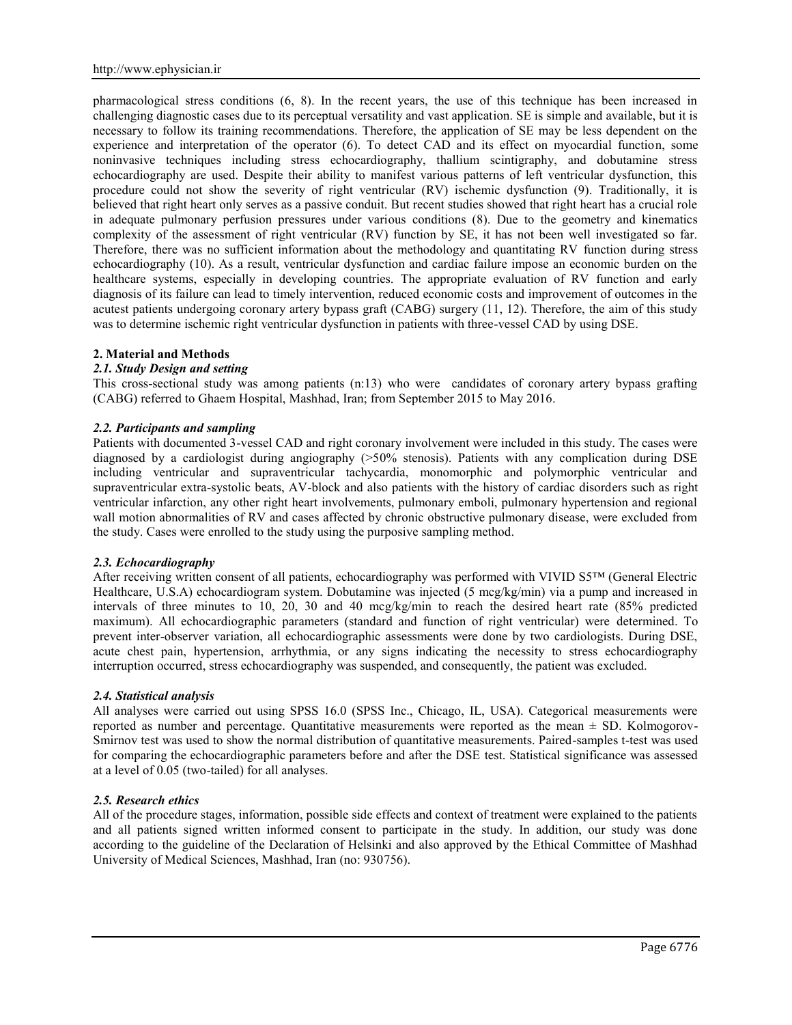pharmacological stress conditions (6, 8). In the recent years, the use of this technique has been increased in challenging diagnostic cases due to its perceptual versatility and vast application. SE is simple and available, but it is necessary to follow its training recommendations. Therefore, the application of SE may be less dependent on the experience and interpretation of the operator (6). To detect CAD and its effect on myocardial function, some noninvasive techniques including stress echocardiography, thallium scintigraphy, and dobutamine stress echocardiography are used. Despite their ability to manifest various patterns of left ventricular dysfunction, this procedure could not show the severity of right ventricular (RV) ischemic dysfunction (9). Traditionally, it is believed that right heart only serves as a passive conduit. But recent studies showed that right heart has a crucial role in adequate pulmonary perfusion pressures under various conditions (8). Due to the geometry and kinematics complexity of the assessment of right ventricular (RV) function by SE, it has not been well investigated so far. Therefore, there was no sufficient information about the methodology and quantitating RV function during stress echocardiography (10). As a result, ventricular dysfunction and cardiac failure impose an economic burden on the healthcare systems, especially in developing countries. The appropriate evaluation of RV function and early diagnosis of its failure can lead to timely intervention, reduced economic costs and improvement of outcomes in the acutest patients undergoing coronary artery bypass graft (CABG) surgery (11, 12). Therefore, the aim of this study was to determine ischemic right ventricular dysfunction in patients with three-vessel CAD by using DSE.

#### **2. Material and Methods**

## *2.1. Study Design and setting*

This cross-sectional study was among patients (n:13) who were candidates of coronary artery bypass grafting (CABG) referred to Ghaem Hospital, Mashhad, Iran; from September 2015 to May 2016.

## *2.2. Participants and sampling*

Patients with documented 3-vessel CAD and right coronary involvement were included in this study. The cases were diagnosed by a cardiologist during angiography (>50% stenosis). Patients with any complication during DSE including ventricular and supraventricular tachycardia, monomorphic and polymorphic ventricular and supraventricular extra-systolic beats, AV-block and also patients with the history of cardiac disorders such as right ventricular infarction, any other right heart involvements, pulmonary emboli, pulmonary hypertension and regional wall motion abnormalities of RV and cases affected by chronic obstructive pulmonary disease, were excluded from the study. Cases were enrolled to the study using the purposive sampling method.

### *2.3. Echocardiography*

After receiving written consent of all patients, echocardiography was performed with VIVID S5™ (General Electric Healthcare, U.S.A) echocardiogram system. Dobutamine was injected (5 mcg/kg/min) via a pump and increased in intervals of three minutes to 10, 20, 30 and 40 mcg/kg/min to reach the desired heart rate (85% predicted maximum). All echocardiographic parameters (standard and function of right ventricular) were determined. To prevent inter-observer variation, all echocardiographic assessments were done by two cardiologists. During DSE, acute chest pain, hypertension, arrhythmia, or any signs indicating the necessity to stress echocardiography interruption occurred, stress echocardiography was suspended, and consequently, the patient was excluded.

## *2.4. Statistical analysis*

All analyses were carried out using SPSS 16.0 (SPSS Inc., Chicago, IL, USA). Categorical measurements were reported as number and percentage. Quantitative measurements were reported as the mean ± SD. Kolmogorov- Smirnov test was used to show the normal distribution of quantitative measurements. Paired-samples t-test was used for comparing the echocardiographic parameters before and after the DSE test. Statistical significance was assessed at a level of 0.05 (two-tailed) for all analyses.

### *2.5. Research ethics*

All of the procedure stages, information, possible side effects and context of treatment were explained to the patients and all patients signed written informed consent to participate in the study. In addition, our study was done according to the guideline of the Declaration of Helsinki and also approved by the Ethical Committee of Mashhad University of Medical Sciences, Mashhad, Iran (no: 930756).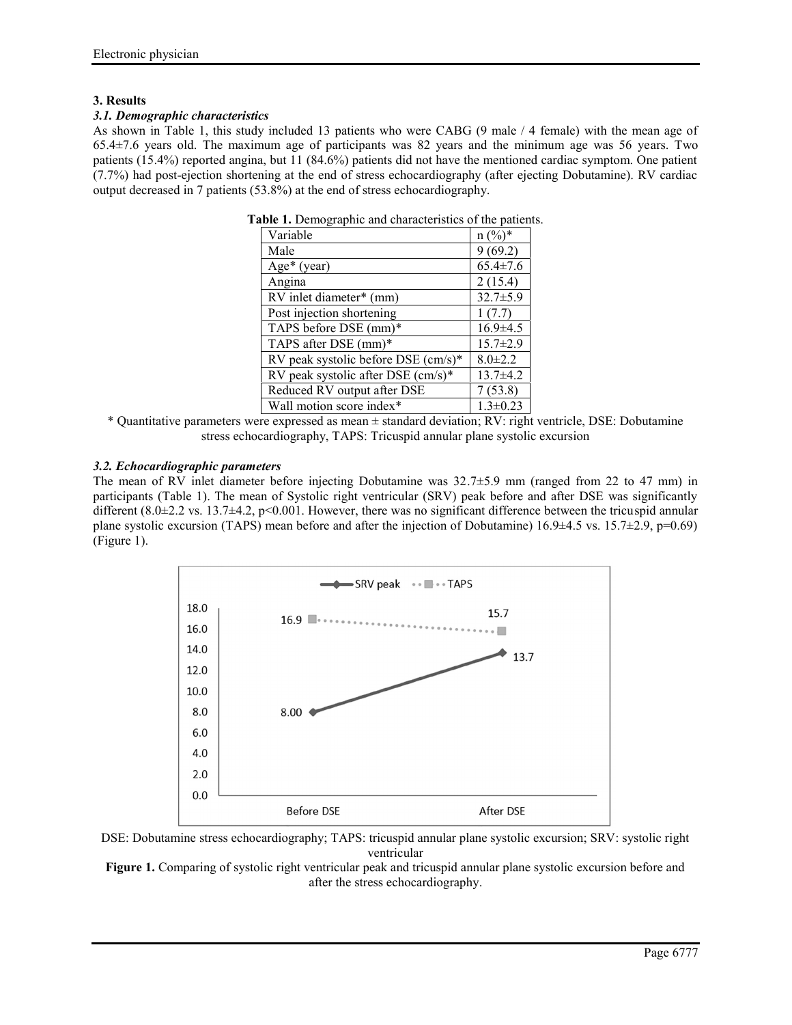# **3. Results**

# *3.1. Demographic characteristics*

As shown in Table 1, this study included 13 patients who were CABG (9 male / 4 female) with the mean age of 65.4±7.6 years old. The maximum age of participants was 82 years and the minimum age was 56 years. Two patients (15.4%) reported angina, but 11 (84.6%) patients did not have the mentioned cardiac symptom. One patient (7.7%) had post-ejection shortening at the end of stress echocardiography (after ejecting Dobutamine). RV cardiac output decreased in 7 patients (53.8%) at the end of stress echocardiography.

| $\ldots$<br>                          |                |
|---------------------------------------|----------------|
| Variable                              | $n (%)^*$      |
| Male                                  | 9(69.2)        |
| Age* (year)                           | $65.4 \pm 7.6$ |
| Angina                                | 2(15.4)        |
| RV inlet diameter* (mm)               | $32.7 \pm 5.9$ |
| Post injection shortening             | 1(7.7)         |
| TAPS before DSE (mm)*                 | $16.9 \pm 4.5$ |
| TAPS after DSE (mm)*                  | $15.7 \pm 2.9$ |
| RV peak systolic before DSE $(cm/s)*$ | $8.0 \pm 2.2$  |
| RV peak systolic after DSE $(cm/s)*$  | $13.7\pm4.2$   |
| Reduced RV output after DSE           | 7(53.8)        |
| Wall motion score index*              | $1.3 \pm 0.23$ |
|                                       |                |

**Table 1.** Demographic and characteristics of the patients.

\* Quantitative parameters were expressed as mean ± standard deviation; RV: right ventricle, DSE: Dobutamine stress echocardiography, TAPS: Tricuspid annular plane systolic excursion

# *3.2. Echocardiographic parameters*

The mean of RV inlet diameter before injecting Dobutamine was  $32.7\pm5.9$  mm (ranged from 22 to 47 mm) in participants (Table 1). The mean of Systolic right ventricular (SRV) peak before and after DSE was significantly different  $(8.0\pm 2.2 \text{ vs. } 13.7\pm 4.2, \text{ p}\leq 0.001$ . However, there was no significant difference between the tricuspid annular plane systolic excursion (TAPS) mean before and after the injection of Dobutamine)  $16.9\pm4.5$  vs.  $15.7\pm2.9$ ,  $p=0.69$ ) (Figure 1).



DSE: Dobutamine stress echocardiography; TAPS: tricuspid annular plane systolic excursion; SRV: systolic right ventricular

**Figure 1.** Comparing of systolic right ventricular peak and tricuspid annular plane systolic excursion before and after the stress echocardiography.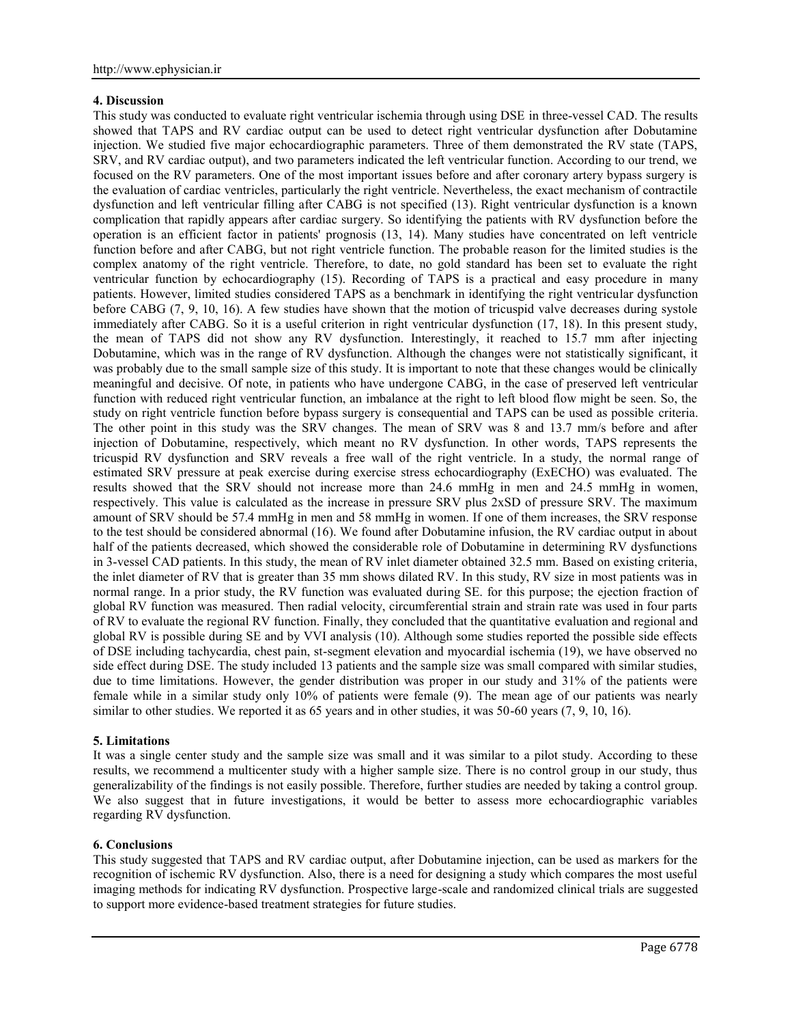# **4. Discussion**

This study was conducted to evaluate right ventricular ischemia through using DSE in three-vessel CAD. The results showed that TAPS and RV cardiac output can be used to detect right ventricular dysfunction after Dobutamine injection. We studied five major echocardiographic parameters. Three of them demonstrated the RV state (TAPS, SRV, and RV cardiac output), and two parameters indicated the left ventricular function. According to our trend, we focused on the RV parameters. One of the most important issues before and after coronary artery bypass surgery is the evaluation of cardiac ventricles, particularly the right ventricle. Nevertheless, the exact mechanism of contractile dysfunction and left ventricular filling after CABG is not specified (13). Right ventricular dysfunction is a known complication that rapidly appears after cardiac surgery. So identifying the patients with RV dysfunction before the operation is an efficient factor in patients' prognosis (13, 14). Many studies have concentrated on left ventricle function before and after CABG, but not right ventricle function. The probable reason for the limited studies is the complex anatomy of the right ventricle. Therefore, to date, no gold standard has been set to evaluate the right ventricular function by echocardiography (15). Recording of TAPS is a practical and easy procedure in many patients. However, limited studies considered TAPS as a benchmark in identifying the right ventricular dysfunction before CABG (7, 9, 10, 16). A few studies have shown that the motion of tricuspid valve decreases during systole immediately after CABG. So it is a useful criterion in right ventricular dysfunction (17, 18). In this present study, the mean of TAPS did not show any RV dysfunction. Interestingly, it reached to 15.7 mm after injecting Dobutamine, which was in the range of RV dysfunction. Although the changes were not statistically significant, it was probably due to the small sample size of this study. It is important to note that these changes would be clinically meaningful and decisive. Of note, in patients who have undergone CABG, in the case of preserved left ventricular function with reduced right ventricular function, an imbalance at the right to left blood flow might be seen. So, the study on right ventricle function before bypass surgery is consequential and TAPS can be used as possible criteria. The other point in this study was the SRV changes. The mean of SRV was 8 and 13.7 mm/s before and after injection of Dobutamine, respectively, which meant no RV dysfunction. In other words, TAPS represents the tricuspid RV dysfunction and SRV reveals a free wall of the right ventricle. In a study, the normal range of estimated SRV pressure at peak exercise during exercise stress echocardiography (ExECHO) was evaluated. The results showed that the SRV should not increase more than 24.6 mmHg in men and 24.5 mmHg in women, respectively. This value is calculated as the increase in pressure SRV plus 2xSD of pressure SRV. The maximum amount of SRV should be 57.4 mmHg in men and 58 mmHg in women. If one of them increases, the SRV response to the test should be considered abnormal (16). We found after Dobutamine infusion, the RV cardiac output in about half of the patients decreased, which showed the considerable role of Dobutamine in determining RV dysfunctions in 3-vessel CAD patients. In this study, the mean of RV inlet diameter obtained 32.5 mm. Based on existing criteria, the inlet diameter of RV that is greater than 35 mm shows dilated RV. In this study, RV size in most patients was in normal range. In a prior study, the RV function was evaluated during SE. for this purpose; the ejection fraction of global RV function was measured. Then radial velocity, circumferential strain and strain rate was used in four parts of RV to evaluate the regional RV function. Finally, they concluded that the quantitative evaluation and regional and global RV is possible during SE and by VVI analysis (10). Although some studies reported the possible side effects of DSE including tachycardia, chest pain, st-segment elevation and myocardial ischemia (19), we have observed no side effect during DSE. The study included 13 patients and the sample size was small compared with similar studies, due to time limitations. However, the gender distribution was proper in our study and 31% of the patients were female while in a similar study only 10% of patients were female (9). The mean age of our patients was nearly similar to other studies. We reported it as 65 years and in other studies, it was 50-60 years (7, 9, 10, 16).

# **5. Limitations**

It was a single center study and the sample size was small and it was similar to a pilot study. According to these results, we recommend a multicenter study with a higher sample size. There is no control group in our study, thus generalizability of the findings is not easily possible. Therefore, further studies are needed by taking a control group. We also suggest that in future investigations, it would be better to assess more echocardiographic variables regarding RV dysfunction.

# **6. Conclusions**

This study suggested that TAPS and RV cardiac output, after Dobutamine injection, can be used as markers for the recognition of ischemic RV dysfunction. Also, there is a need for designing a study which compares the most useful imaging methods for indicating RV dysfunction. Prospective large-scale and randomized clinical trials are suggested to support more evidence-based treatment strategies for future studies.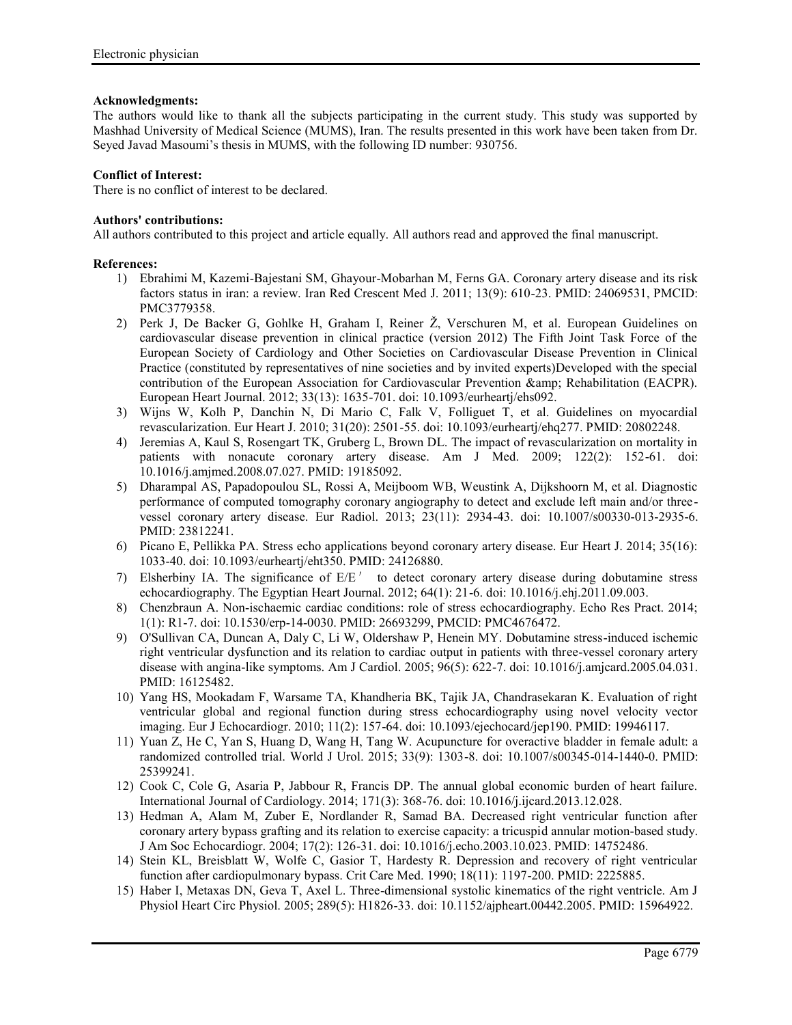## **Acknowledgments:**

The authors would like to thank all the subjects participating in the current study. This study was supported by Mashhad University of Medical Science (MUMS), Iran. The results presented in this work have been taken from Dr. Seyed Javad Masoumi's thesis in MUMS, with the following ID number: 930756.

## **Conflict of Interest:**

There is no conflict of interest to be declared.

# **Authors' contributions:**

All authors contributed to this project and article equally. All authors read and approved the final manuscript.

## **References:**

- 1) Ebrahimi M, Kazemi-Bajestani SM, Ghayour-Mobarhan M, Ferns GA. Coronary artery disease and its risk factors status in iran: a review. Iran Red Crescent Med J. 2011; 13(9): 610-23. PMID: 24069531, PMCID: PMC3779358.
- 2) Perk J, De Backer G, Gohlke H, Graham I, Reiner Ž, Verschuren M, et al. European Guidelines on cardiovascular disease prevention in clinical practice (version 2012) The Fifth Joint Task Force of the European Society of Cardiology and Other Societies on Cardiovascular Disease Prevention in Clinical Practice (constituted by representatives of nine societies and by invited experts)Developed with the special contribution of the European Association for Cardiovascular Prevention & amp: Rehabilitation (EACPR). European Heart Journal. 2012; 33(13): 1635-701. doi: 10.1093/eurheartj/ehs092.
- 3) Wijns W, Kolh P, Danchin N, Di Mario C, Falk V, Folliguet T, et al. Guidelines on myocardial revascularization. Eur Heart J. 2010; 31(20): 2501-55. doi: 10.1093/eurheartj/ehq277. PMID: 20802248.
- 4) Jeremias A, Kaul S, Rosengart TK, Gruberg L, Brown DL. The impact of revascularization on mortality in patients with nonacute coronary artery disease. Am J Med. 2009; 122(2): 152-61. doi: 10.1016/j.amjmed.2008.07.027. PMID: 19185092.
- 5) Dharampal AS, Papadopoulou SL, Rossi A, Meijboom WB, Weustink A, Dijkshoorn M, et al. Diagnostic performance of computed tomography coronary angiography to detect and exclude left main and/or three vessel coronary artery disease. Eur Radiol. 2013; 23(11): 2934-43. doi: 10.1007/s00330-013-2935-6. PMID: 23812241.
- 6) Picano E, Pellikka PA. Stress echo applications beyond coronary artery disease. Eur Heart J. 2014; 35(16): 1033-40. doi: 10.1093/eurheartj/eht350. PMID: 24126880.
- 7) Elsherbiny IA. The significance of E/E′ to detect coronary artery disease during dobutamine stress echocardiography. The Egyptian Heart Journal. 2012; 64(1): 21-6. doi: 10.1016/j.ehj.2011.09.003.
- 8) Chenzbraun A. Non-ischaemic cardiac conditions: role of stress echocardiography. Echo Res Pract. 2014; 1(1): R1-7. doi: 10.1530/erp-14-0030. PMID: 26693299, PMCID: PMC4676472.
- 9) O'Sullivan CA, Duncan A, Daly C, Li W, Oldershaw P, Henein MY. Dobutamine stress-induced ischemic right ventricular dysfunction and its relation to cardiac output in patients with three-vessel coronary artery disease with angina-like symptoms. Am J Cardiol. 2005; 96(5): 622-7. doi: 10.1016/j.amjcard.2005.04.031. PMID: 16125482.
- 10) Yang HS, Mookadam F, Warsame TA, Khandheria BK, Tajik JA, Chandrasekaran K. Evaluation of right ventricular global and regional function during stress echocardiography using novel velocity vector imaging. Eur J Echocardiogr. 2010; 11(2): 157-64. doi: 10.1093/ejechocard/jep190. PMID: 19946117.
- 11) Yuan Z, He C, Yan S, Huang D, Wang H, Tang W. Acupuncture for overactive bladder in female adult: a randomized controlled trial. World J Urol. 2015; 33(9): 1303-8. doi: 10.1007/s00345-014-1440-0. PMID: 25399241.
- 12) Cook C, Cole G, Asaria P, Jabbour R, Francis DP. The annual global economic burden of heart failure. International Journal of Cardiology. 2014; 171(3): 368-76. doi: 10.1016/j.ijcard.2013.12.028.
- 13) Hedman A, Alam M, Zuber E, Nordlander R, Samad BA. Decreased right ventricular function after coronary artery bypass grafting and its relation to exercise capacity: a tricuspid annular motion-based study. J Am Soc Echocardiogr. 2004; 17(2): 126-31. doi: 10.1016/j.echo.2003.10.023. PMID: 14752486.
- 14) Stein KL, Breisblatt W, Wolfe C, Gasior T, Hardesty R. Depression and recovery of right ventricular function after cardiopulmonary bypass. Crit Care Med. 1990; 18(11): 1197-200. PMID: 2225885.
- 15) Haber I, Metaxas DN, Geva T, Axel L. Three-dimensional systolic kinematics of the right ventricle. Am J Physiol Heart Circ Physiol. 2005; 289(5): H1826-33. doi: 10.1152/ajpheart.00442.2005. PMID: 15964922.